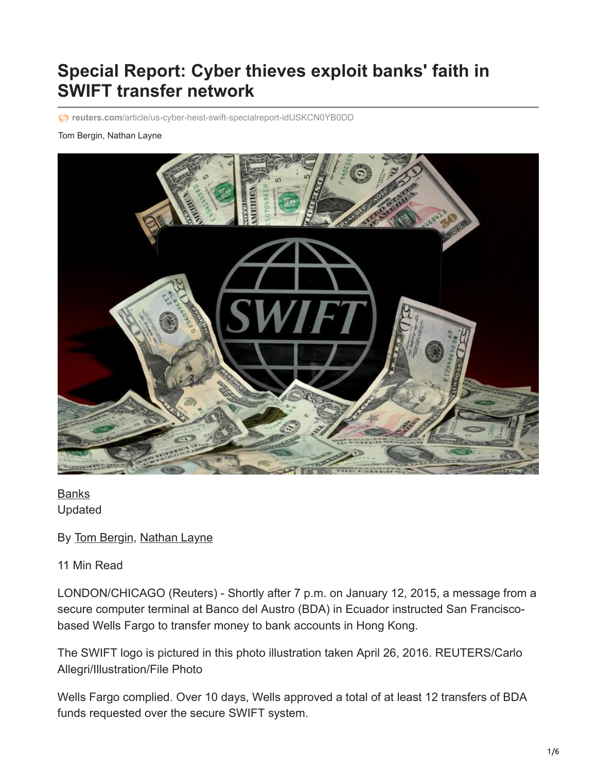# **Special Report: Cyber thieves exploit banks' faith in SWIFT transfer network**

**reuters.com**[/article/us-cyber-heist-swift-specialreport-idUSKCN0YB0DD](https://www.reuters.com/article/us-cyber-heist-swift-specialreport-idUSKCN0YB0DD)

#### Tom Bergin, Nathan Layne



[Banks](https://www.reuters.com/news/archive/bank-news) Updated

By [Tom Bergin](https://www.reuters.com/journalists/tom-bergin), [Nathan Layne](https://www.reuters.com/journalists/nathan-layne)

#### 11 Min Read

LONDON/CHICAGO (Reuters) - Shortly after 7 p.m. on January 12, 2015, a message from a secure computer terminal at Banco del Austro (BDA) in Ecuador instructed San Franciscobased Wells Fargo to transfer money to bank accounts in Hong Kong.

The SWIFT logo is pictured in this photo illustration taken April 26, 2016. REUTERS/Carlo Allegri/Illustration/File Photo

Wells Fargo complied. Over 10 days, Wells approved a total of at least 12 transfers of BDA funds requested over the secure SWIFT system.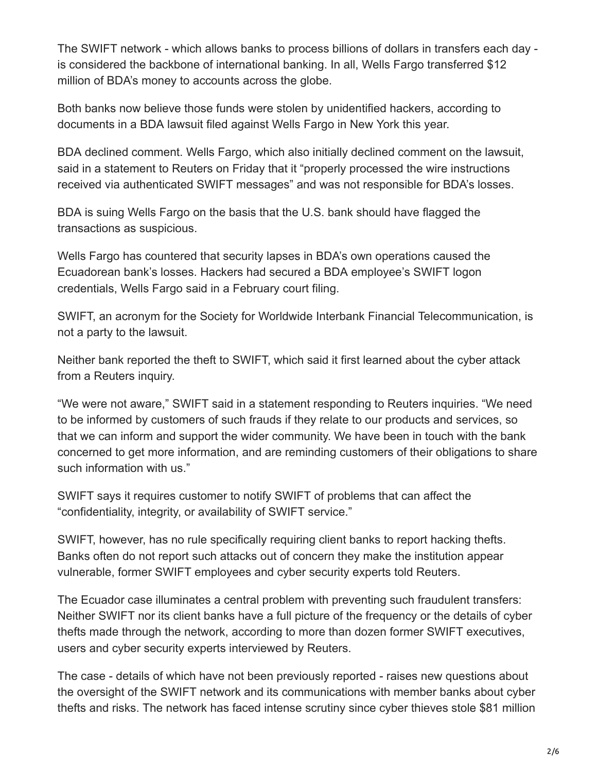The SWIFT network - which allows banks to process billions of dollars in transfers each day is considered the backbone of international banking. In all, Wells Fargo transferred \$12 million of BDA's money to accounts across the globe.

Both banks now believe those funds were stolen by unidentified hackers, according to documents in a BDA lawsuit filed against Wells Fargo in New York this year.

BDA declined comment. Wells Fargo, which also initially declined comment on the lawsuit, said in a statement to Reuters on Friday that it "properly processed the wire instructions received via authenticated SWIFT messages" and was not responsible for BDA's losses.

BDA is suing Wells Fargo on the basis that the U.S. bank should have flagged the transactions as suspicious.

Wells Fargo has countered that security lapses in BDA's own operations caused the Ecuadorean bank's losses. Hackers had secured a BDA employee's SWIFT logon credentials, Wells Fargo said in a February court filing.

SWIFT, an acronym for the Society for Worldwide Interbank Financial Telecommunication, is not a party to the lawsuit.

Neither bank reported the theft to SWIFT, which said it first learned about the cyber attack from a Reuters inquiry.

"We were not aware," SWIFT said in a statement responding to Reuters inquiries. "We need to be informed by customers of such frauds if they relate to our products and services, so that we can inform and support the wider community. We have been in touch with the bank concerned to get more information, and are reminding customers of their obligations to share such information with us."

SWIFT says it requires customer to notify SWIFT of problems that can affect the "confidentiality, integrity, or availability of SWIFT service."

SWIFT, however, has no rule specifically requiring client banks to report hacking thefts. Banks often do not report such attacks out of concern they make the institution appear vulnerable, former SWIFT employees and cyber security experts told Reuters.

The Ecuador case illuminates a central problem with preventing such fraudulent transfers: Neither SWIFT nor its client banks have a full picture of the frequency or the details of cyber thefts made through the network, according to more than dozen former SWIFT executives, users and cyber security experts interviewed by Reuters.

The case - details of which have not been previously reported - raises new questions about the oversight of the SWIFT network and its communications with member banks about cyber thefts and risks. The network has faced intense scrutiny since cyber thieves stole \$81 million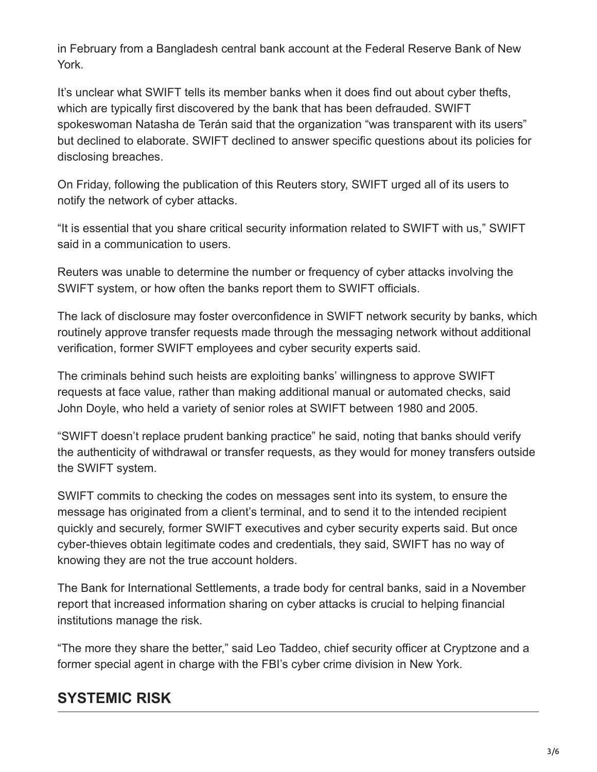in February from a Bangladesh central bank account at the Federal Reserve Bank of New York.

It's unclear what SWIFT tells its member banks when it does find out about cyber thefts, which are typically first discovered by the bank that has been defrauded. SWIFT spokeswoman Natasha de Terán said that the organization "was transparent with its users" but declined to elaborate. SWIFT declined to answer specific questions about its policies for disclosing breaches.

On Friday, following the publication of this Reuters story, SWIFT urged all of its users to notify the network of cyber attacks.

"It is essential that you share critical security information related to SWIFT with us," SWIFT said in a communication to users.

Reuters was unable to determine the number or frequency of cyber attacks involving the SWIFT system, or how often the banks report them to SWIFT officials.

The lack of disclosure may foster overconfidence in SWIFT network security by banks, which routinely approve transfer requests made through the messaging network without additional verification, former SWIFT employees and cyber security experts said.

The criminals behind such heists are exploiting banks' willingness to approve SWIFT requests at face value, rather than making additional manual or automated checks, said John Doyle, who held a variety of senior roles at SWIFT between 1980 and 2005.

"SWIFT doesn't replace prudent banking practice" he said, noting that banks should verify the authenticity of withdrawal or transfer requests, as they would for money transfers outside the SWIFT system.

SWIFT commits to checking the codes on messages sent into its system, to ensure the message has originated from a client's terminal, and to send it to the intended recipient quickly and securely, former SWIFT executives and cyber security experts said. But once cyber-thieves obtain legitimate codes and credentials, they said, SWIFT has no way of knowing they are not the true account holders.

The Bank for International Settlements, a trade body for central banks, said in a November report that increased information sharing on cyber attacks is crucial to helping financial institutions manage the risk.

"The more they share the better," said Leo Taddeo, chief security officer at Cryptzone and a former special agent in charge with the FBI's cyber crime division in New York.

### **SYSTEMIC RISK**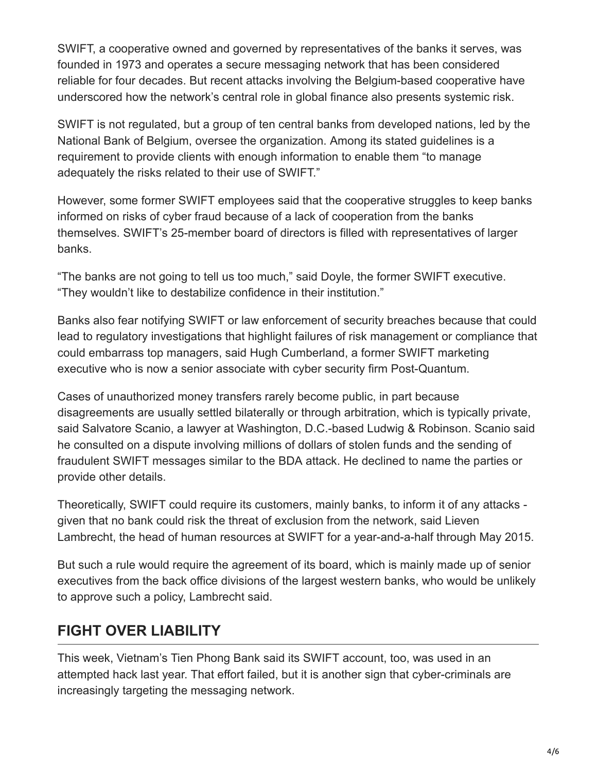SWIFT, a cooperative owned and governed by representatives of the banks it serves, was founded in 1973 and operates a secure messaging network that has been considered reliable for four decades. But recent attacks involving the Belgium-based cooperative have underscored how the network's central role in global finance also presents systemic risk.

SWIFT is not regulated, but a group of ten central banks from developed nations, led by the National Bank of Belgium, oversee the organization. Among its stated guidelines is a requirement to provide clients with enough information to enable them "to manage adequately the risks related to their use of SWIFT."

However, some former SWIFT employees said that the cooperative struggles to keep banks informed on risks of cyber fraud because of a lack of cooperation from the banks themselves. SWIFT's 25-member board of directors is filled with representatives of larger banks.

"The banks are not going to tell us too much," said Doyle, the former SWIFT executive. "They wouldn't like to destabilize confidence in their institution."

Banks also fear notifying SWIFT or law enforcement of security breaches because that could lead to regulatory investigations that highlight failures of risk management or compliance that could embarrass top managers, said Hugh Cumberland, a former SWIFT marketing executive who is now a senior associate with cyber security firm Post-Quantum.

Cases of unauthorized money transfers rarely become public, in part because disagreements are usually settled bilaterally or through arbitration, which is typically private, said Salvatore Scanio, a lawyer at Washington, D.C.-based Ludwig & Robinson. Scanio said he consulted on a dispute involving millions of dollars of stolen funds and the sending of fraudulent SWIFT messages similar to the BDA attack. He declined to name the parties or provide other details.

Theoretically, SWIFT could require its customers, mainly banks, to inform it of any attacks given that no bank could risk the threat of exclusion from the network, said Lieven Lambrecht, the head of human resources at SWIFT for a year-and-a-half through May 2015.

But such a rule would require the agreement of its board, which is mainly made up of senior executives from the back office divisions of the largest western banks, who would be unlikely to approve such a policy, Lambrecht said.

### **FIGHT OVER LIABILITY**

This week, Vietnam's Tien Phong Bank said its SWIFT account, too, was used in an attempted hack last year. That effort failed, but it is another sign that cyber-criminals are increasingly targeting the messaging network.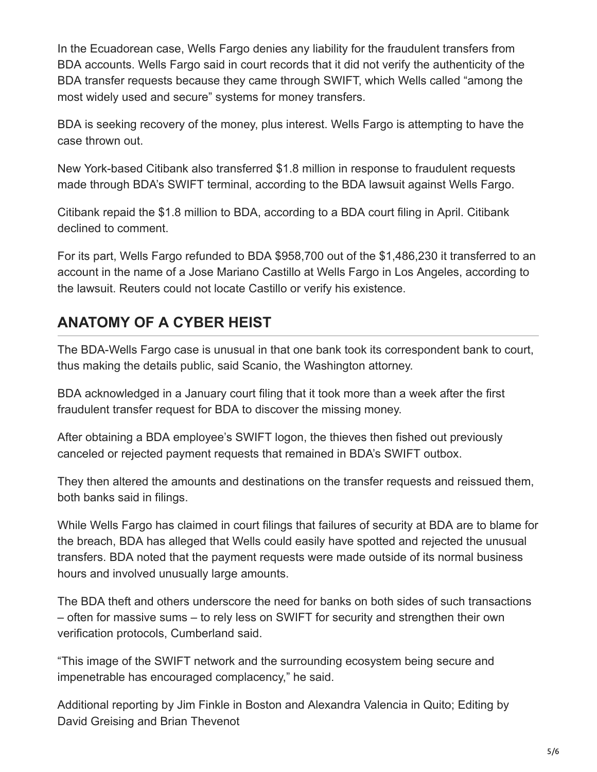In the Ecuadorean case, Wells Fargo denies any liability for the fraudulent transfers from BDA accounts. Wells Fargo said in court records that it did not verify the authenticity of the BDA transfer requests because they came through SWIFT, which Wells called "among the most widely used and secure" systems for money transfers.

BDA is seeking recovery of the money, plus interest. Wells Fargo is attempting to have the case thrown out.

New York-based Citibank also transferred \$1.8 million in response to fraudulent requests made through BDA's SWIFT terminal, according to the BDA lawsuit against Wells Fargo.

Citibank repaid the \$1.8 million to BDA, according to a BDA court filing in April. Citibank declined to comment.

For its part, Wells Fargo refunded to BDA \$958,700 out of the \$1,486,230 it transferred to an account in the name of a Jose Mariano Castillo at Wells Fargo in Los Angeles, according to the lawsuit. Reuters could not locate Castillo or verify his existence.

## **ANATOMY OF A CYBER HEIST**

The BDA-Wells Fargo case is unusual in that one bank took its correspondent bank to court, thus making the details public, said Scanio, the Washington attorney.

BDA acknowledged in a January court filing that it took more than a week after the first fraudulent transfer request for BDA to discover the missing money.

After obtaining a BDA employee's SWIFT logon, the thieves then fished out previously canceled or rejected payment requests that remained in BDA's SWIFT outbox.

They then altered the amounts and destinations on the transfer requests and reissued them, both banks said in filings.

While Wells Fargo has claimed in court filings that failures of security at BDA are to blame for the breach, BDA has alleged that Wells could easily have spotted and rejected the unusual transfers. BDA noted that the payment requests were made outside of its normal business hours and involved unusually large amounts.

The BDA theft and others underscore the need for banks on both sides of such transactions – often for massive sums – to rely less on SWIFT for security and strengthen their own verification protocols, Cumberland said.

"This image of the SWIFT network and the surrounding ecosystem being secure and impenetrable has encouraged complacency," he said.

Additional reporting by Jim Finkle in Boston and Alexandra Valencia in Quito; Editing by David Greising and Brian Thevenot